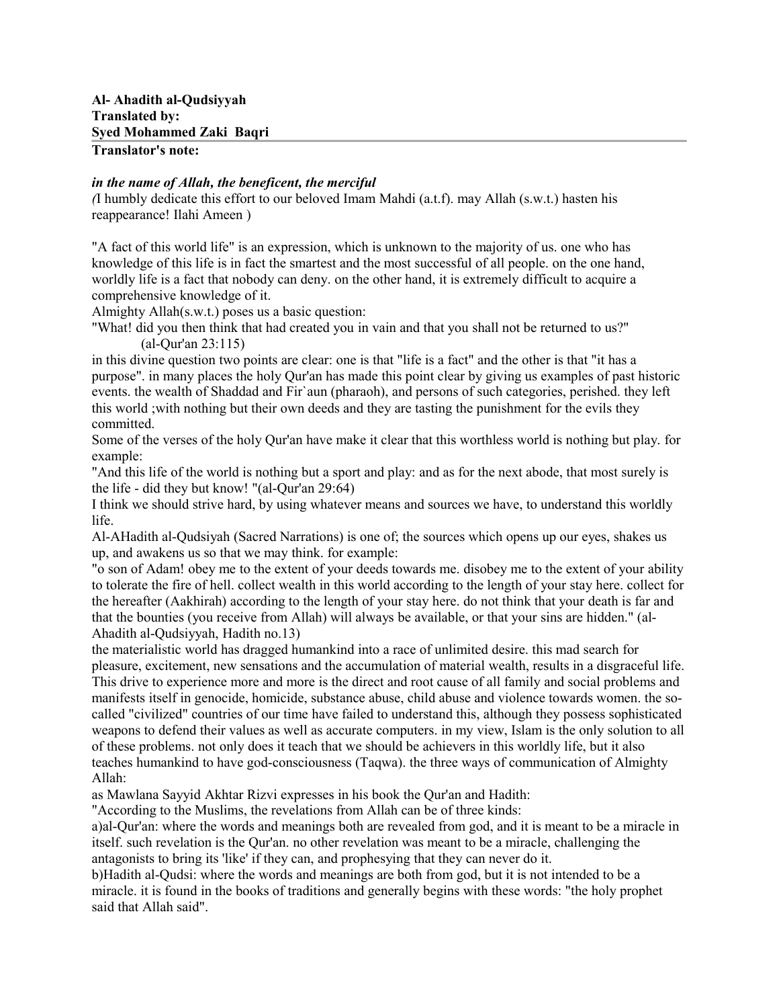# **Translator's note:**

### *in the name of Allah, the beneficent, the merciful*

*(*I humbly dedicate this effort to our beloved Imam Mahdi (a.t.f). may Allah (s.w.t.) hasten his reappearance! Ilahi Ameen )

"A fact of this world life" is an expression, which is unknown to the majority of us. one who has knowledge of this life is in fact the smartest and the most successful of all people. on the one hand, worldly life is a fact that nobody can deny. on the other hand, it is extremely difficult to acquire a comprehensive knowledge of it.

Almighty Allah(s.w.t.) poses us a basic question:

"What! did you then think that had created you in vain and that you shall not be returned to us?" (al-Qur'an 23:115)

in this divine question two points are clear: one is that "life is a fact" and the other is that "it has a purpose". in many places the holy Qur'an has made this point clear by giving us examples of past historic events. the wealth of Shaddad and Fir`aun (pharaoh), and persons of such categories, perished. they left this world ;with nothing but their own deeds and they are tasting the punishment for the evils they committed.

Some of the verses of the holy Qur'an have make it clear that this worthless world is nothing but play. for example:

"And this life of the world is nothing but a sport and play: and as for the next abode, that most surely is the life - did they but know! "(al-Qur'an 29:64)

I think we should strive hard, by using whatever means and sources we have, to understand this worldly life.

Al-AHadith al-Qudsiyah (Sacred Narrations) is one of; the sources which opens up our eyes, shakes us up, and awakens us so that we may think. for example:

"o son of Adam! obey me to the extent of your deeds towards me. disobey me to the extent of your ability to tolerate the fire of hell. collect wealth in this world according to the length of your stay here. collect for the hereafter (Aakhirah) according to the length of your stay here. do not think that your death is far and that the bounties (you receive from Allah) will always be available, or that your sins are hidden." (al-Ahadith al-Qudsiyyah, Hadith no.13)

the materialistic world has dragged humankind into a race of unlimited desire. this mad search for pleasure, excitement, new sensations and the accumulation of material wealth, results in a disgraceful life. This drive to experience more and more is the direct and root cause of all family and social problems and manifests itself in genocide, homicide, substance abuse, child abuse and violence towards women. the socalled "civilized" countries of our time have failed to understand this, although they possess sophisticated weapons to defend their values as well as accurate computers. in my view, Islam is the only solution to all of these problems. not only does it teach that we should be achievers in this worldly life, but it also teaches humankind to have god-consciousness (Taqwa). the three ways of communication of Almighty Allah:

as Mawlana Sayyid Akhtar Rizvi expresses in his book the Qur'an and Hadith:

"According to the Muslims, the revelations from Allah can be of three kinds:

a)al-Qur'an: where the words and meanings both are revealed from god, and it is meant to be a miracle in itself. such revelation is the Qur'an. no other revelation was meant to be a miracle, challenging the antagonists to bring its 'like' if they can, and prophesying that they can never do it.

b)Hadith al-Qudsi: where the words and meanings are both from god, but it is not intended to be a miracle. it is found in the books of traditions and generally begins with these words: "the holy prophet said that Allah said".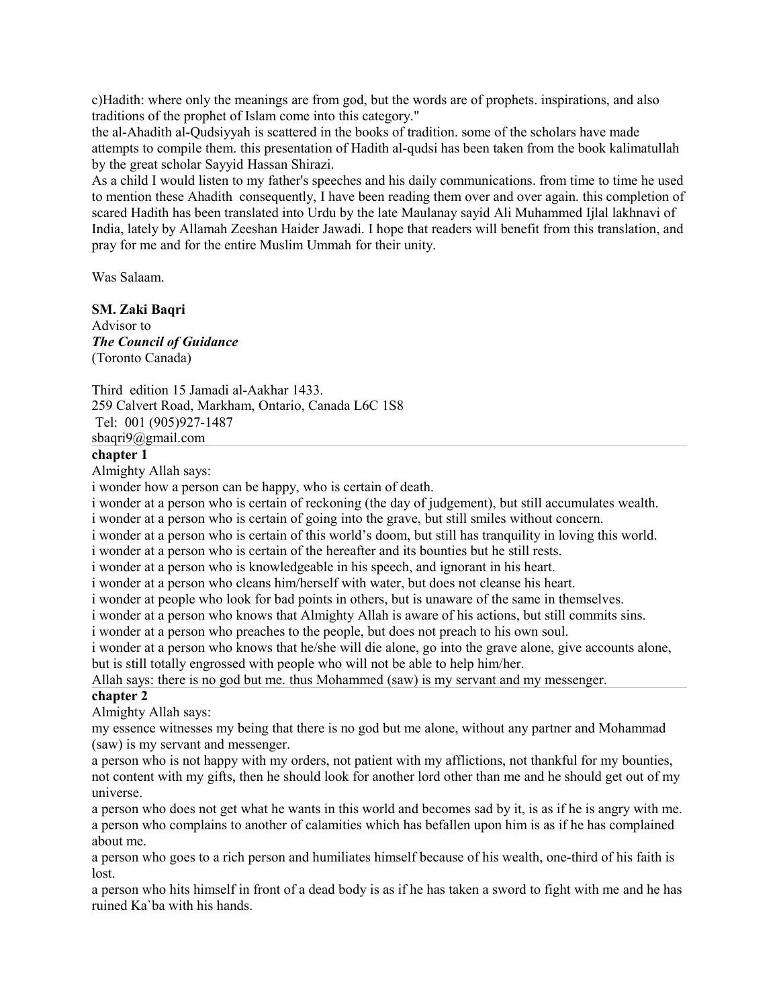c)Hadith: where only the meanings are from god, but the words are of prophets. inspirations, and also traditions of the prophet of Islam come into this category."

the al-Ahadith al-Qudsiyyah is scattered in the books of tradition. some of the scholars have made attempts to compile them. this presentation of Hadith al-qudsi has been taken from the book kalimatullah by the great scholar Sayyid Hassan Shirazi.

As a child I would listen to my father's speeches and his daily communications. from time to time he used to mention these Ahadith consequently, I have been reading them over and over again. this completion of scared Hadith has been translated into Urdu by the late Maulanay sayid Ali Muhammed Ijlal lakhnavi of India, lately by Allamah Zeeshan Haider Jawadi. I hope that readers will benefit from this translation, and pray for me and for the entire Muslim Ummah for their unity.

Was Salaam.

#### **SM. Zaki Baqri**

Advisor to *The Council of Guidance*  (Toronto Canada)

Third edition 15 Jamadi al-Aakhar 1433. 259 Calvert Road, Markham, Ontario, Canada L6C 1S8 Tel: 001 (905)927-1487 sbaqri9@gmail.com

### **chapter 1**

Almighty Allah says:

i wonder how a person can be happy, who is certain of death.

i wonder at a person who is certain of reckoning (the day of judgement), but still accumulates wealth.

i wonder at a person who is certain of going into the grave, but still smiles without concern.

i wonder at a person who is certain of this world's doom, but still has tranquility in loving this world.

i wonder at a person who is certain of the hereafter and its bounties but he still rests.

i wonder at a person who is knowledgeable in his speech, and ignorant in his heart.

i wonder at a person who cleans him/herself with water, but does not cleanse his heart.

i wonder at people who look for bad points in others, but is unaware of the same in themselves.

i wonder at a person who knows that Almighty Allah is aware of his actions, but still commits sins.

i wonder at a person who preaches to the people, but does not preach to his own soul.

i wonder at a person who knows that he/she will die alone, go into the grave alone, give accounts alone, but is still totally engrossed with people who will not be able to help him/her.

Allah says: there is no god but me. thus Mohammed (saw) is my servant and my messenger.

#### **chapter 2**

Almighty Allah says:

my essence witnesses my being that there is no god but me alone, without any partner and Mohammad (saw) is my servant and messenger.

a person who is not happy with my orders, not patient with my afflictions, not thankful for my bounties, not content with my gifts, then he should look for another lord other than me and he should get out of my universe.

a person who does not get what he wants in this world and becomes sad by it, is as if he is angry with me. a person who complains to another of calamities which has befallen upon him is as if he has complained about me.

a person who goes to a rich person and humiliates himself because of his wealth, one-third of his faith is lost.

a person who hits himself in front of a dead body is as if he has taken a sword to fight with me and he has ruined Ka`ba with his hands.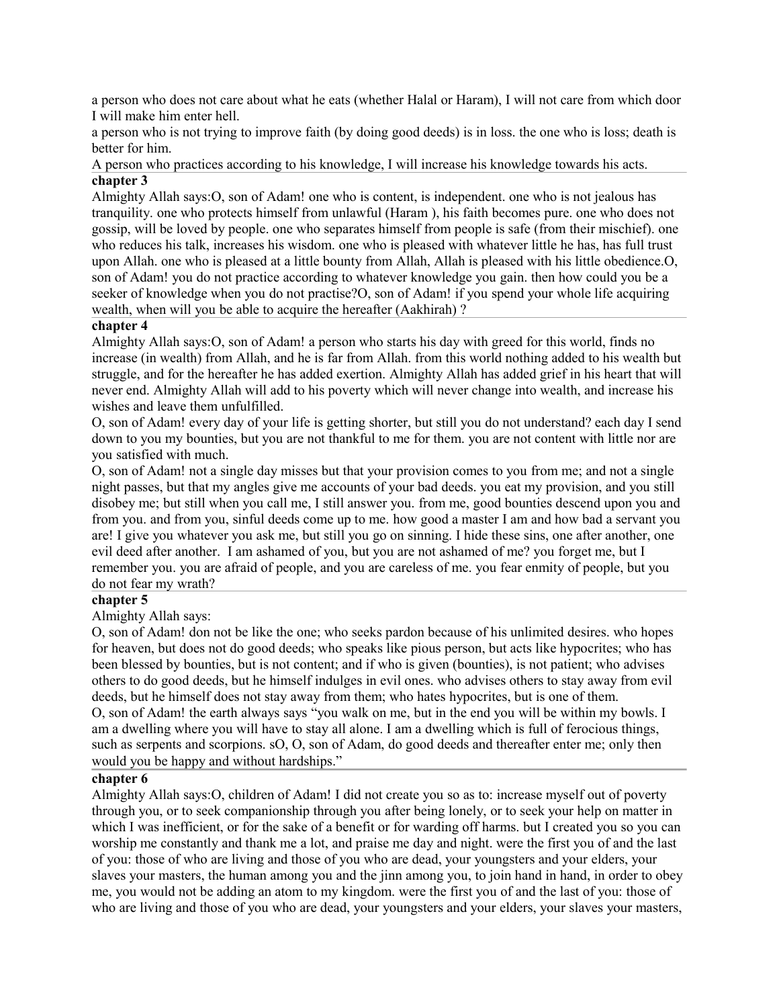a person who does not care about what he eats (whether Halal or Haram), I will not care from which door I will make him enter hell.

a person who is not trying to improve faith (by doing good deeds) is in loss. the one who is loss; death is better for him.

A person who practices according to his knowledge, I will increase his knowledge towards his acts. **chapter 3**

Almighty Allah says:O, son of Adam! one who is content, is independent. one who is not jealous has tranquility. one who protects himself from unlawful (Haram ), his faith becomes pure. one who does not gossip, will be loved by people. one who separates himself from people is safe (from their mischief). one who reduces his talk, increases his wisdom. one who is pleased with whatever little he has, has full trust upon Allah. one who is pleased at a little bounty from Allah, Allah is pleased with his little obedience.O, son of Adam! you do not practice according to whatever knowledge you gain. then how could you be a seeker of knowledge when you do not practise?O, son of Adam! if you spend your whole life acquiring wealth, when will you be able to acquire the hereafter (Aakhirah) ?

#### **chapter 4**

Almighty Allah says:O, son of Adam! a person who starts his day with greed for this world, finds no increase (in wealth) from Allah, and he is far from Allah. from this world nothing added to his wealth but struggle, and for the hereafter he has added exertion. Almighty Allah has added grief in his heart that will never end. Almighty Allah will add to his poverty which will never change into wealth, and increase his wishes and leave them unfulfilled.

O, son of Adam! every day of your life is getting shorter, but still you do not understand? each day I send down to you my bounties, but you are not thankful to me for them. you are not content with little nor are you satisfied with much.

O, son of Adam! not a single day misses but that your provision comes to you from me; and not a single night passes, but that my angles give me accounts of your bad deeds. you eat my provision, and you still disobey me; but still when you call me, I still answer you. from me, good bounties descend upon you and from you. and from you, sinful deeds come up to me. how good a master I am and how bad a servant you are! I give you whatever you ask me, but still you go on sinning. I hide these sins, one after another, one evil deed after another. I am ashamed of you, but you are not ashamed of me? you forget me, but I remember you. you are afraid of people, and you are careless of me. you fear enmity of people, but you do not fear my wrath?

### **chapter 5**

Almighty Allah says:

O, son of Adam! don not be like the one; who seeks pardon because of his unlimited desires. who hopes for heaven, but does not do good deeds; who speaks like pious person, but acts like hypocrites; who has been blessed by bounties, but is not content; and if who is given (bounties), is not patient; who advises others to do good deeds, but he himself indulges in evil ones. who advises others to stay away from evil deeds, but he himself does not stay away from them; who hates hypocrites, but is one of them. O, son of Adam! the earth always says "you walk on me, but in the end you will be within my bowls. I am a dwelling where you will have to stay all alone. I am a dwelling which is full of ferocious things, such as serpents and scorpions. sO, O, son of Adam, do good deeds and thereafter enter me; only then would you be happy and without hardships."

#### **chapter 6**

Almighty Allah says:O, children of Adam! I did not create you so as to: increase myself out of poverty through you, or to seek companionship through you after being lonely, or to seek your help on matter in which I was inefficient, or for the sake of a benefit or for warding off harms, but I created you so you can worship me constantly and thank me a lot, and praise me day and night. were the first you of and the last of you: those of who are living and those of you who are dead, your youngsters and your elders, your slaves your masters, the human among you and the jinn among you, to join hand in hand, in order to obey me, you would not be adding an atom to my kingdom. were the first you of and the last of you: those of who are living and those of you who are dead, your youngsters and your elders, your slaves your masters,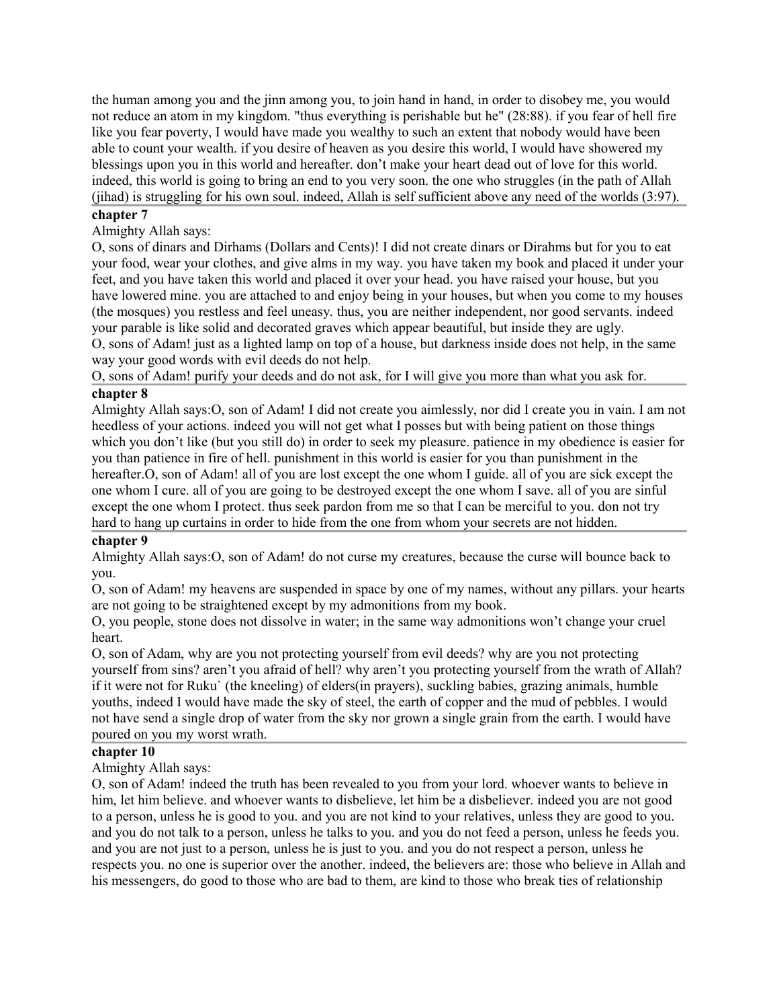the human among you and the jinn among you, to join hand in hand, in order to disobey me, you would not reduce an atom in my kingdom. "thus everything is perishable but he" (28:88). if you fear of hell fire like you fear poverty, I would have made you wealthy to such an extent that nobody would have been able to count your wealth. if you desire of heaven as you desire this world, I would have showered my blessings upon you in this world and hereafter. don't make your heart dead out of love for this world. indeed, this world is going to bring an end to you very soon. the one who struggles (in the path of Allah (jihad) is struggling for his own soul. indeed, Allah is self sufficient above any need of the worlds (3:97).

#### **chapter 7**

## Almighty Allah says:

O, sons of dinars and Dirhams (Dollars and Cents)! I did not create dinars or Dirahms but for you to eat your food, wear your clothes, and give alms in my way. you have taken my book and placed it under your feet, and you have taken this world and placed it over your head. you have raised your house, but you have lowered mine. you are attached to and enjoy being in your houses, but when you come to my houses (the mosques) you restless and feel uneasy. thus, you are neither independent, nor good servants. indeed your parable is like solid and decorated graves which appear beautiful, but inside they are ugly. O, sons of Adam! just as a lighted lamp on top of a house, but darkness inside does not help, in the same

way your good words with evil deeds do not help.

O, sons of Adam! purify your deeds and do not ask, for I will give you more than what you ask for. **chapter 8**

Almighty Allah says:O, son of Adam! I did not create you aimlessly, nor did I create you in vain. I am not heedless of your actions. indeed you will not get what I posses but with being patient on those things which you don't like (but you still do) in order to seek my pleasure, patience in my obedience is easier for you than patience in fire of hell. punishment in this world is easier for you than punishment in the hereafter.O, son of Adam! all of you are lost except the one whom I guide. all of you are sick except the one whom I cure. all of you are going to be destroyed except the one whom I save. all of you are sinful except the one whom I protect. thus seek pardon from me so that I can be merciful to you. don not try hard to hang up curtains in order to hide from the one from whom your secrets are not hidden.

### **chapter 9**

Almighty Allah says:O, son of Adam! do not curse my creatures, because the curse will bounce back to you.

O, son of Adam! my heavens are suspended in space by one of my names, without any pillars. your hearts are not going to be straightened except by my admonitions from my book.

O, you people, stone does not dissolve in water; in the same way admonitions won't change your cruel heart.

O, son of Adam, why are you not protecting yourself from evil deeds? why are you not protecting yourself from sins? aren't you afraid of hell? why aren't you protecting yourself from the wrath of Allah? if it were not for Ruku` (the kneeling) of elders(in prayers), suckling babies, grazing animals, humble youths, indeed I would have made the sky of steel, the earth of copper and the mud of pebbles. I would not have send a single drop of water from the sky nor grown a single grain from the earth. I would have poured on you my worst wrath.

#### **chapter 10**

Almighty Allah says:

O, son of Adam! indeed the truth has been revealed to you from your lord. whoever wants to believe in him, let him believe. and whoever wants to disbelieve, let him be a disbeliever. indeed you are not good to a person, unless he is good to you. and you are not kind to your relatives, unless they are good to you. and you do not talk to a person, unless he talks to you. and you do not feed a person, unless he feeds you. and you are not just to a person, unless he is just to you. and you do not respect a person, unless he respects you. no one is superior over the another. indeed, the believers are: those who believe in Allah and his messengers, do good to those who are bad to them, are kind to those who break ties of relationship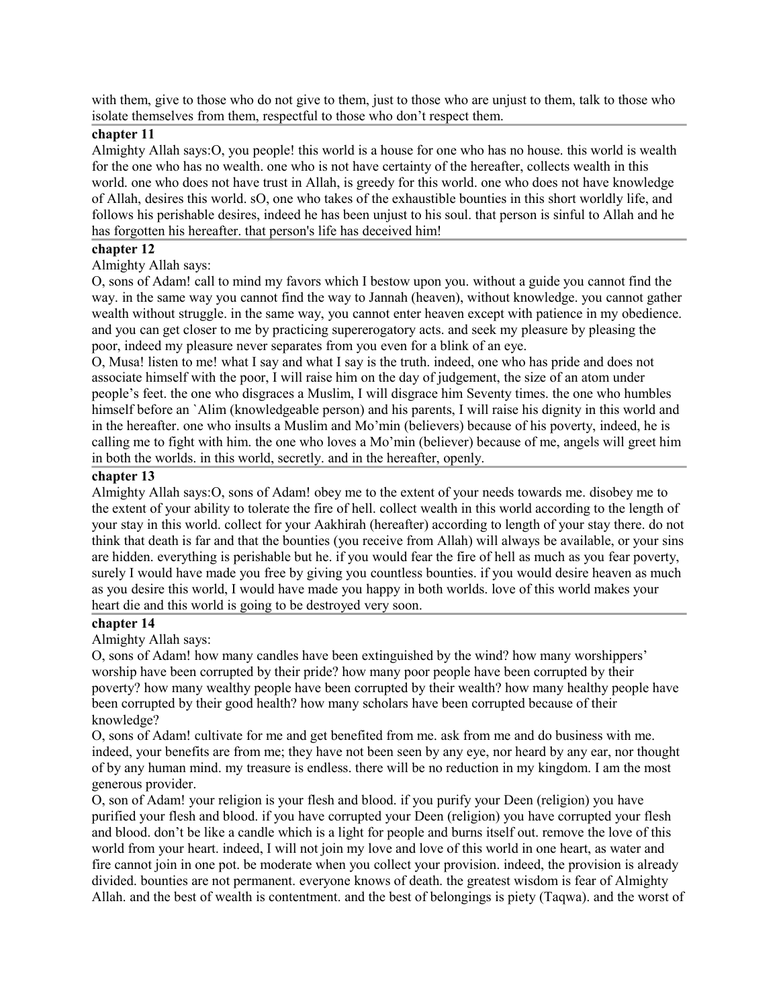with them, give to those who do not give to them, just to those who are unjust to them, talk to those who isolate themselves from them, respectful to those who don't respect them.

## **chapter 11**

Almighty Allah says:O, you people! this world is a house for one who has no house. this world is wealth for the one who has no wealth. one who is not have certainty of the hereafter, collects wealth in this world. one who does not have trust in Allah, is greedy for this world. one who does not have knowledge of Allah, desires this world. sO, one who takes of the exhaustible bounties in this short worldly life, and follows his perishable desires, indeed he has been unjust to his soul. that person is sinful to Allah and he has forgotten his hereafter. that person's life has deceived him!

### **chapter 12**

Almighty Allah says:

O, sons of Adam! call to mind my favors which I bestow upon you. without a guide you cannot find the way. in the same way you cannot find the way to Jannah (heaven), without knowledge. you cannot gather wealth without struggle. in the same way, you cannot enter heaven except with patience in my obedience. and you can get closer to me by practicing supererogatory acts. and seek my pleasure by pleasing the poor, indeed my pleasure never separates from you even for a blink of an eye.

O, Musa! listen to me! what I say and what I say is the truth. indeed, one who has pride and does not associate himself with the poor, I will raise him on the day of judgement, the size of an atom under people's feet. the one who disgraces a Muslim, I will disgrace him Seventy times. the one who humbles himself before an `Alim (knowledgeable person) and his parents, I will raise his dignity in this world and in the hereafter. one who insults a Muslim and Mo'min (believers) because of his poverty, indeed, he is calling me to fight with him. the one who loves a Mo'min (believer) because of me, angels will greet him in both the worlds. in this world, secretly. and in the hereafter, openly.

#### **chapter 13**

Almighty Allah says:O, sons of Adam! obey me to the extent of your needs towards me. disobey me to the extent of your ability to tolerate the fire of hell. collect wealth in this world according to the length of your stay in this world. collect for your Aakhirah (hereafter) according to length of your stay there. do not think that death is far and that the bounties (you receive from Allah) will always be available, or your sins are hidden. everything is perishable but he. if you would fear the fire of hell as much as you fear poverty, surely I would have made you free by giving you countless bounties. if you would desire heaven as much as you desire this world, I would have made you happy in both worlds. love of this world makes your heart die and this world is going to be destroyed very soon.

#### **chapter 14**

Almighty Allah says:

O, sons of Adam! how many candles have been extinguished by the wind? how many worshippers' worship have been corrupted by their pride? how many poor people have been corrupted by their poverty? how many wealthy people have been corrupted by their wealth? how many healthy people have been corrupted by their good health? how many scholars have been corrupted because of their knowledge?

O, sons of Adam! cultivate for me and get benefited from me. ask from me and do business with me. indeed, your benefits are from me; they have not been seen by any eye, nor heard by any ear, nor thought of by any human mind. my treasure is endless. there will be no reduction in my kingdom. I am the most generous provider.

O, son of Adam! your religion is your flesh and blood. if you purify your Deen (religion) you have purified your flesh and blood. if you have corrupted your Deen (religion) you have corrupted your flesh and blood. don't be like a candle which is a light for people and burns itself out. remove the love of this world from your heart. indeed, I will not join my love and love of this world in one heart, as water and fire cannot join in one pot. be moderate when you collect your provision. indeed, the provision is already divided. bounties are not permanent. everyone knows of death. the greatest wisdom is fear of Almighty Allah. and the best of wealth is contentment. and the best of belongings is piety (Taqwa). and the worst of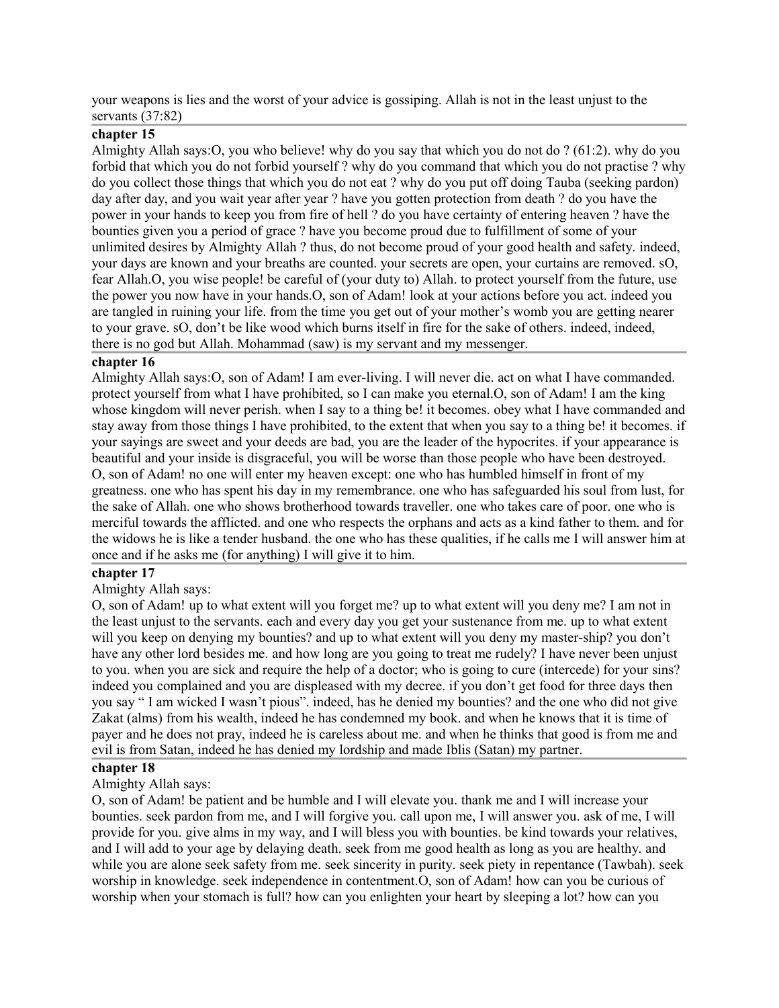your weapons is lies and the worst of your advice is gossiping. Allah is not in the least unjust to the servants (37:82)

### **chapter 15**

Almighty Allah says:O, you who believe! why do you say that which you do not do ? (61:2). why do you forbid that which you do not forbid yourself ? why do you command that which you do not practise ? why do you collect those things that which you do not eat ? why do you put off doing Tauba (seeking pardon) day after day, and you wait year after year ? have you gotten protection from death ? do you have the power in your hands to keep you from fire of hell ? do you have certainty of entering heaven ? have the bounties given you a period of grace ? have you become proud due to fulfillment of some of your unlimited desires by Almighty Allah ? thus, do not become proud of your good health and safety. indeed, your days are known and your breaths are counted. your secrets are open, your curtains are removed. sO, fear Allah.O, you wise people! be careful of (your duty to) Allah. to protect yourself from the future, use the power you now have in your hands.O, son of Adam! look at your actions before you act. indeed you are tangled in ruining your life. from the time you get out of your mother's womb you are getting nearer to your grave. sO, don't be like wood which burns itself in fire for the sake of others. indeed, indeed, there is no god but Allah. Mohammad (saw) is my servant and my messenger.

#### **chapter 16**

Almighty Allah says:O, son of Adam! I am ever-living. I will never die. act on what I have commanded. protect yourself from what I have prohibited, so I can make you eternal.O, son of Adam! I am the king whose kingdom will never perish, when I say to a thing be! it becomes, obey what I have commanded and stay away from those things I have prohibited, to the extent that when you say to a thing be! it becomes. if your sayings are sweet and your deeds are bad, you are the leader of the hypocrites. if your appearance is beautiful and your inside is disgraceful, you will be worse than those people who have been destroyed. O, son of Adam! no one will enter my heaven except: one who has humbled himself in front of my greatness. one who has spent his day in my remembrance. one who has safeguarded his soul from lust, for the sake of Allah. one who shows brotherhood towards traveller. one who takes care of poor. one who is merciful towards the afflicted. and one who respects the orphans and acts as a kind father to them. and for the widows he is like a tender husband. the one who has these qualities, if he calls me I will answer him at once and if he asks me (for anything) I will give it to him.

### **chapter 17**

### Almighty Allah says:

O, son of Adam! up to what extent will you forget me? up to what extent will you deny me? I am not in the least unjust to the servants. each and every day you get your sustenance from me. up to what extent will you keep on denying my bounties? and up to what extent will you deny my master-ship? you don't have any other lord besides me. and how long are you going to treat me rudely? I have never been unjust to you. when you are sick and require the help of a doctor; who is going to cure (intercede) for your sins? indeed you complained and you are displeased with my decree. if you don't get food for three days then you say " I am wicked I wasn't pious". indeed, has he denied my bounties? and the one who did not give Zakat (alms) from his wealth, indeed he has condemned my book. and when he knows that it is time of payer and he does not pray, indeed he is careless about me. and when he thinks that good is from me and evil is from Satan, indeed he has denied my lordship and made Iblis (Satan) my partner.

#### **chapter 18**

### Almighty Allah says:

O, son of Adam! be patient and be humble and I will elevate you. thank me and I will increase your bounties. seek pardon from me, and I will forgive you. call upon me, I will answer you. ask of me, I will provide for you. give alms in my way, and I will bless you with bounties. be kind towards your relatives, and I will add to your age by delaying death. seek from me good health as long as you are healthy. and while you are alone seek safety from me. seek sincerity in purity. seek piety in repentance (Tawbah). seek worship in knowledge. seek independence in contentment.O, son of Adam! how can you be curious of worship when your stomach is full? how can you enlighten your heart by sleeping a lot? how can you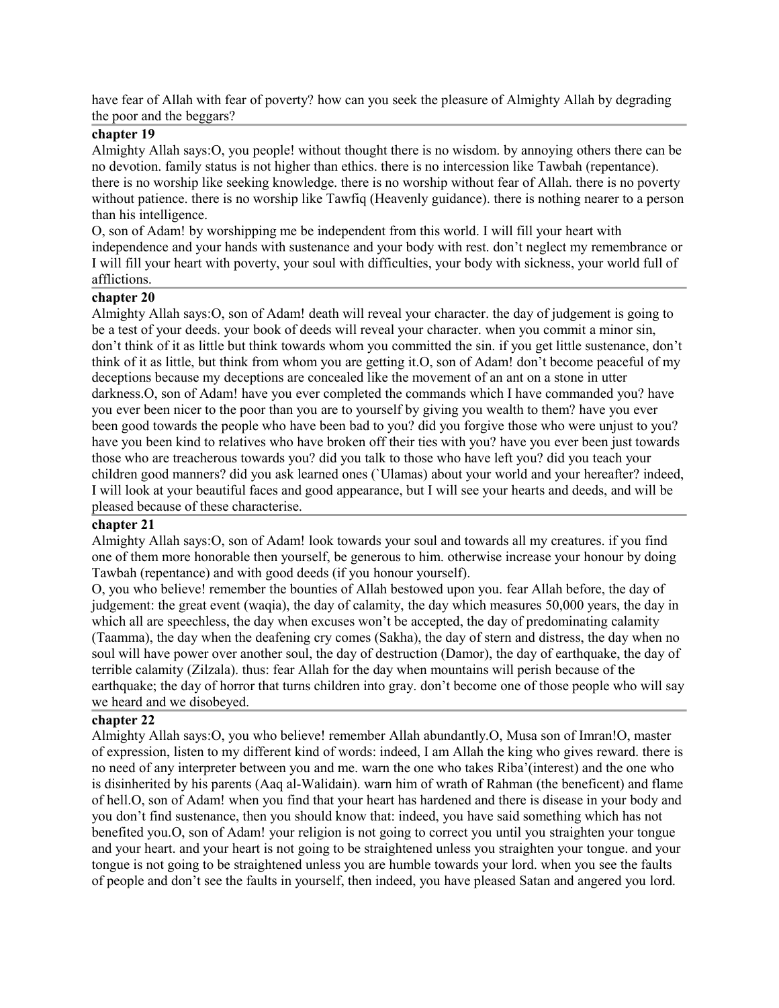have fear of Allah with fear of poverty? how can you seek the pleasure of Almighty Allah by degrading the poor and the beggars?

#### **chapter 19**

Almighty Allah says:O, you people! without thought there is no wisdom. by annoying others there can be no devotion. family status is not higher than ethics. there is no intercession like Tawbah (repentance). there is no worship like seeking knowledge. there is no worship without fear of Allah. there is no poverty without patience. there is no worship like Tawfiq (Heavenly guidance). there is nothing nearer to a person than his intelligence.

O, son of Adam! by worshipping me be independent from this world. I will fill your heart with independence and your hands with sustenance and your body with rest. don't neglect my remembrance or I will fill your heart with poverty, your soul with difficulties, your body with sickness, your world full of afflictions.

#### **chapter 20**

Almighty Allah says:O, son of Adam! death will reveal your character. the day of judgement is going to be a test of your deeds. your book of deeds will reveal your character. when you commit a minor sin, don't think of it as little but think towards whom you committed the sin. if you get little sustenance, don't think of it as little, but think from whom you are getting it.O, son of Adam! don't become peaceful of my deceptions because my deceptions are concealed like the movement of an ant on a stone in utter darkness.O, son of Adam! have you ever completed the commands which I have commanded you? have you ever been nicer to the poor than you are to yourself by giving you wealth to them? have you ever been good towards the people who have been bad to you? did you forgive those who were unjust to you? have you been kind to relatives who have broken off their ties with you? have you ever been just towards those who are treacherous towards you? did you talk to those who have left you? did you teach your children good manners? did you ask learned ones (`Ulamas) about your world and your hereafter? indeed, I will look at your beautiful faces and good appearance, but I will see your hearts and deeds, and will be pleased because of these characterise.

### **chapter 21**

Almighty Allah says:O, son of Adam! look towards your soul and towards all my creatures. if you find one of them more honorable then yourself, be generous to him. otherwise increase your honour by doing Tawbah (repentance) and with good deeds (if you honour yourself).

O, you who believe! remember the bounties of Allah bestowed upon you. fear Allah before, the day of judgement: the great event (waqia), the day of calamity, the day which measures 50,000 years, the day in which all are speechless, the day when excuses won't be accepted, the day of predominating calamity (Taamma), the day when the deafening cry comes (Sakha), the day of stern and distress, the day when no soul will have power over another soul, the day of destruction (Damor), the day of earthquake, the day of terrible calamity (Zilzala). thus: fear Allah for the day when mountains will perish because of the earthquake; the day of horror that turns children into gray. don't become one of those people who will say we heard and we disobeyed.

#### **chapter 22**

Almighty Allah says:O, you who believe! remember Allah abundantly.O, Musa son of Imran!O, master of expression, listen to my different kind of words: indeed, I am Allah the king who gives reward. there is no need of any interpreter between you and me. warn the one who takes Riba'(interest) and the one who is disinherited by his parents (Aaq al-Walidain). warn him of wrath of Rahman (the beneficent) and flame of hell.O, son of Adam! when you find that your heart has hardened and there is disease in your body and you don't find sustenance, then you should know that: indeed, you have said something which has not benefited you.O, son of Adam! your religion is not going to correct you until you straighten your tongue and your heart. and your heart is not going to be straightened unless you straighten your tongue. and your tongue is not going to be straightened unless you are humble towards your lord. when you see the faults of people and don't see the faults in yourself, then indeed, you have pleased Satan and angered you lord.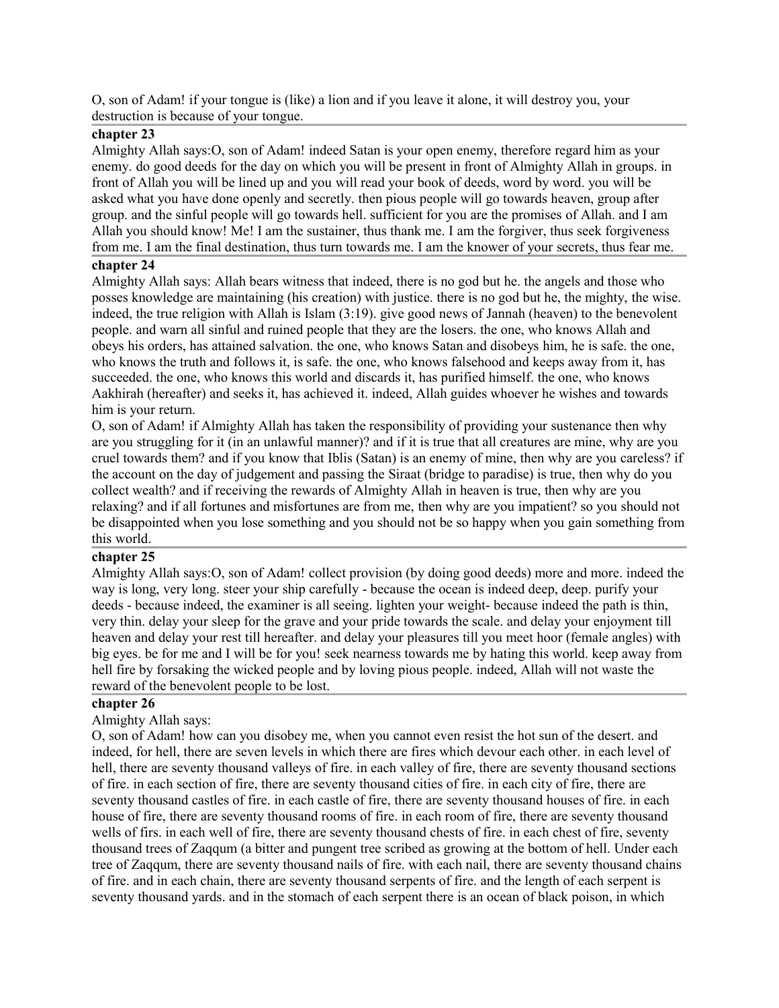O, son of Adam! if your tongue is (like) a lion and if you leave it alone, it will destroy you, your destruction is because of your tongue.

## **chapter 23**

Almighty Allah says:O, son of Adam! indeed Satan is your open enemy, therefore regard him as your enemy. do good deeds for the day on which you will be present in front of Almighty Allah in groups. in front of Allah you will be lined up and you will read your book of deeds, word by word. you will be asked what you have done openly and secretly. then pious people will go towards heaven, group after group. and the sinful people will go towards hell. sufficient for you are the promises of Allah. and I am Allah you should know! Me! I am the sustainer, thus thank me. I am the forgiver, thus seek forgiveness from me. I am the final destination, thus turn towards me. I am the knower of your secrets, thus fear me.

### **chapter 24**

Almighty Allah says: Allah bears witness that indeed, there is no god but he. the angels and those who posses knowledge are maintaining (his creation) with justice. there is no god but he, the mighty, the wise. indeed, the true religion with Allah is Islam (3:19). give good news of Jannah (heaven) to the benevolent people. and warn all sinful and ruined people that they are the losers. the one, who knows Allah and obeys his orders, has attained salvation. the one, who knows Satan and disobeys him, he is safe. the one, who knows the truth and follows it, is safe. the one, who knows falsehood and keeps away from it, has succeeded. the one, who knows this world and discards it, has purified himself. the one, who knows Aakhirah (hereafter) and seeks it, has achieved it. indeed, Allah guides whoever he wishes and towards him is your return.

O, son of Adam! if Almighty Allah has taken the responsibility of providing your sustenance then why are you struggling for it (in an unlawful manner)? and if it is true that all creatures are mine, why are you cruel towards them? and if you know that Iblis (Satan) is an enemy of mine, then why are you careless? if the account on the day of judgement and passing the Siraat (bridge to paradise) is true, then why do you collect wealth? and if receiving the rewards of Almighty Allah in heaven is true, then why are you relaxing? and if all fortunes and misfortunes are from me, then why are you impatient? so you should not be disappointed when you lose something and you should not be so happy when you gain something from this world.

### **chapter 25**

Almighty Allah says:O, son of Adam! collect provision (by doing good deeds) more and more. indeed the way is long, very long. steer your ship carefully - because the ocean is indeed deep, deep. purify your deeds - because indeed, the examiner is all seeing. lighten your weight- because indeed the path is thin, very thin. delay your sleep for the grave and your pride towards the scale. and delay your enjoyment till heaven and delay your rest till hereafter. and delay your pleasures till you meet hoor (female angles) with big eyes. be for me and I will be for you! seek nearness towards me by hating this world. keep away from hell fire by forsaking the wicked people and by loving pious people. indeed, Allah will not waste the reward of the benevolent people to be lost.

#### **chapter 26**

### Almighty Allah says:

O, son of Adam! how can you disobey me, when you cannot even resist the hot sun of the desert. and indeed, for hell, there are seven levels in which there are fires which devour each other. in each level of hell, there are seventy thousand valleys of fire. in each valley of fire, there are seventy thousand sections of fire. in each section of fire, there are seventy thousand cities of fire. in each city of fire, there are seventy thousand castles of fire. in each castle of fire, there are seventy thousand houses of fire. in each house of fire, there are seventy thousand rooms of fire. in each room of fire, there are seventy thousand wells of firs. in each well of fire, there are seventy thousand chests of fire. in each chest of fire, seventy thousand trees of Zaqqum (a bitter and pungent tree scribed as growing at the bottom of hell. Under each tree of Zaqqum, there are seventy thousand nails of fire. with each nail, there are seventy thousand chains of fire. and in each chain, there are seventy thousand serpents of fire. and the length of each serpent is seventy thousand yards. and in the stomach of each serpent there is an ocean of black poison, in which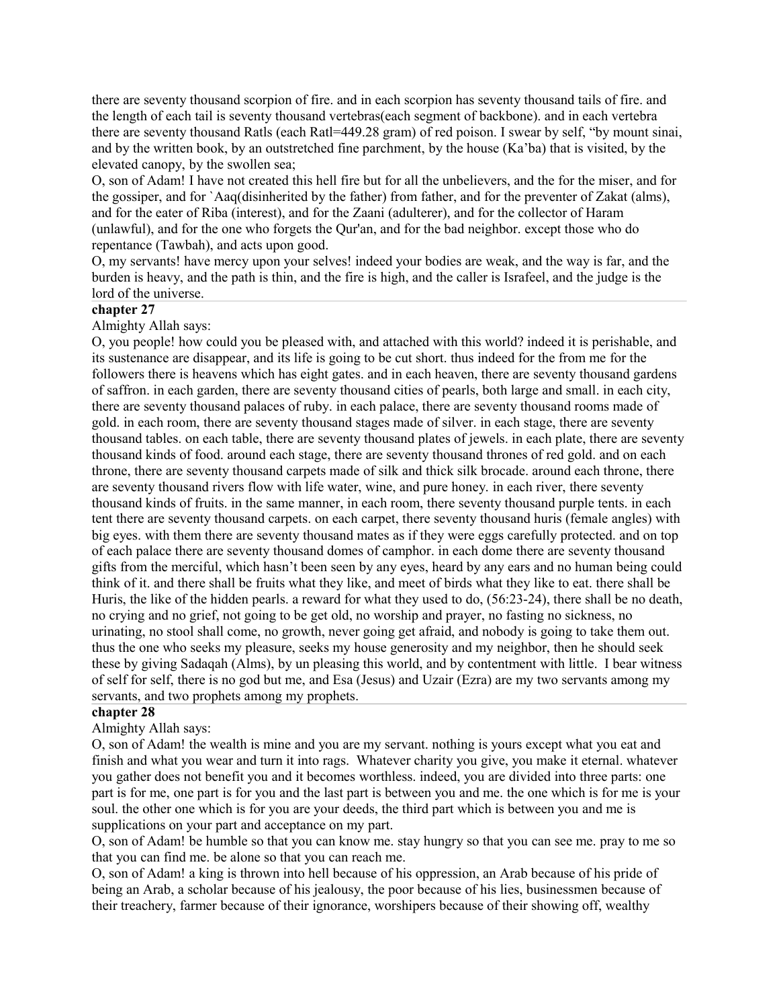there are seventy thousand scorpion of fire. and in each scorpion has seventy thousand tails of fire. and the length of each tail is seventy thousand vertebras(each segment of backbone). and in each vertebra there are seventy thousand Ratls (each Ratl=449.28 gram) of red poison. I swear by self, "by mount sinai, and by the written book, by an outstretched fine parchment, by the house (Ka'ba) that is visited, by the elevated canopy, by the swollen sea;

O, son of Adam! I have not created this hell fire but for all the unbelievers, and the for the miser, and for the gossiper, and for `Aaq(disinherited by the father) from father, and for the preventer of Zakat (alms), and for the eater of Riba (interest), and for the Zaani (adulterer), and for the collector of Haram (unlawful), and for the one who forgets the Qur'an, and for the bad neighbor. except those who do repentance (Tawbah), and acts upon good.

O, my servants! have mercy upon your selves! indeed your bodies are weak, and the way is far, and the burden is heavy, and the path is thin, and the fire is high, and the caller is Israfeel, and the judge is the lord of the universe.

## **chapter 27**

Almighty Allah says:

O, you people! how could you be pleased with, and attached with this world? indeed it is perishable, and its sustenance are disappear, and its life is going to be cut short. thus indeed for the from me for the followers there is heavens which has eight gates. and in each heaven, there are seventy thousand gardens of saffron. in each garden, there are seventy thousand cities of pearls, both large and small. in each city, there are seventy thousand palaces of ruby. in each palace, there are seventy thousand rooms made of gold. in each room, there are seventy thousand stages made of silver. in each stage, there are seventy thousand tables. on each table, there are seventy thousand plates of jewels. in each plate, there are seventy thousand kinds of food. around each stage, there are seventy thousand thrones of red gold. and on each throne, there are seventy thousand carpets made of silk and thick silk brocade. around each throne, there are seventy thousand rivers flow with life water, wine, and pure honey. in each river, there seventy thousand kinds of fruits. in the same manner, in each room, there seventy thousand purple tents. in each tent there are seventy thousand carpets. on each carpet, there seventy thousand huris (female angles) with big eyes. with them there are seventy thousand mates as if they were eggs carefully protected. and on top of each palace there are seventy thousand domes of camphor. in each dome there are seventy thousand gifts from the merciful, which hasn't been seen by any eyes, heard by any ears and no human being could think of it. and there shall be fruits what they like, and meet of birds what they like to eat. there shall be Huris, the like of the hidden pearls. a reward for what they used to do, (56:23-24), there shall be no death, no crying and no grief, not going to be get old, no worship and prayer, no fasting no sickness, no urinating, no stool shall come, no growth, never going get afraid, and nobody is going to take them out. thus the one who seeks my pleasure, seeks my house generosity and my neighbor, then he should seek these by giving Sadaqah (Alms), by un pleasing this world, and by contentment with little. I bear witness of self for self, there is no god but me, and Esa (Jesus) and Uzair (Ezra) are my two servants among my servants, and two prophets among my prophets.

#### **chapter 28**

Almighty Allah says:

O, son of Adam! the wealth is mine and you are my servant. nothing is yours except what you eat and finish and what you wear and turn it into rags. Whatever charity you give, you make it eternal. whatever you gather does not benefit you and it becomes worthless. indeed, you are divided into three parts: one part is for me, one part is for you and the last part is between you and me. the one which is for me is your soul. the other one which is for you are your deeds, the third part which is between you and me is supplications on your part and acceptance on my part.

O, son of Adam! be humble so that you can know me. stay hungry so that you can see me. pray to me so that you can find me. be alone so that you can reach me.

O, son of Adam! a king is thrown into hell because of his oppression, an Arab because of his pride of being an Arab, a scholar because of his jealousy, the poor because of his lies, businessmen because of their treachery, farmer because of their ignorance, worshipers because of their showing off, wealthy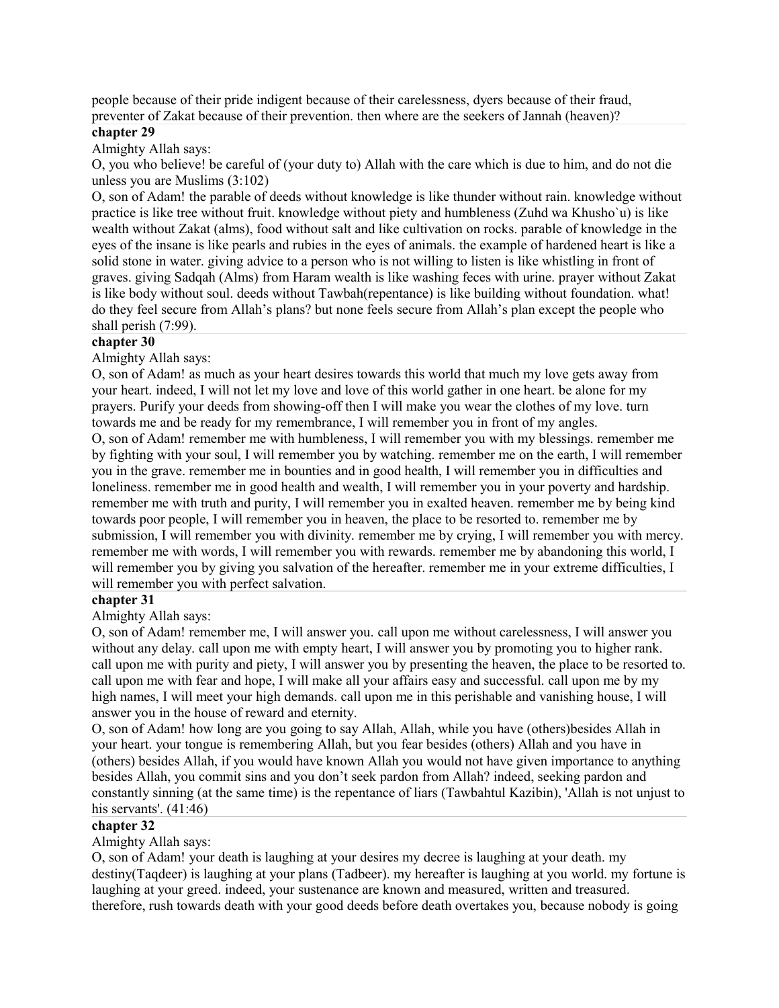people because of their pride indigent because of their carelessness, dyers because of their fraud, preventer of Zakat because of their prevention. then where are the seekers of Jannah (heaven)?

### **chapter 29**

Almighty Allah says:

O, you who believe! be careful of (your duty to) Allah with the care which is due to him, and do not die unless you are Muslims (3:102)

O, son of Adam! the parable of deeds without knowledge is like thunder without rain. knowledge without practice is like tree without fruit. knowledge without piety and humbleness (Zuhd wa Khusho`u) is like wealth without Zakat (alms), food without salt and like cultivation on rocks. parable of knowledge in the eyes of the insane is like pearls and rubies in the eyes of animals. the example of hardened heart is like a solid stone in water. giving advice to a person who is not willing to listen is like whistling in front of graves. giving Sadqah (Alms) from Haram wealth is like washing feces with urine. prayer without Zakat is like body without soul. deeds without Tawbah(repentance) is like building without foundation. what! do they feel secure from Allah's plans? but none feels secure from Allah's plan except the people who shall perish (7:99).

### **chapter 30**

Almighty Allah says:

O, son of Adam! as much as your heart desires towards this world that much my love gets away from your heart. indeed, I will not let my love and love of this world gather in one heart. be alone for my prayers. Purify your deeds from showing-off then I will make you wear the clothes of my love. turn towards me and be ready for my remembrance, I will remember you in front of my angles.

O, son of Adam! remember me with humbleness, I will remember you with my blessings. remember me by fighting with your soul, I will remember you by watching. remember me on the earth, I will remember you in the grave. remember me in bounties and in good health, I will remember you in difficulties and loneliness. remember me in good health and wealth, I will remember you in your poverty and hardship. remember me with truth and purity, I will remember you in exalted heaven. remember me by being kind towards poor people, I will remember you in heaven, the place to be resorted to. remember me by submission, I will remember you with divinity. remember me by crying, I will remember you with mercy. remember me with words, I will remember you with rewards. remember me by abandoning this world, I will remember you by giving you salvation of the hereafter, remember me in your extreme difficulties, I will remember you with perfect salvation.

### **chapter 31**

Almighty Allah says:

O, son of Adam! remember me, I will answer you. call upon me without carelessness, I will answer you without any delay. call upon me with empty heart, I will answer you by promoting you to higher rank. call upon me with purity and piety, I will answer you by presenting the heaven, the place to be resorted to. call upon me with fear and hope, I will make all your affairs easy and successful. call upon me by my high names, I will meet your high demands. call upon me in this perishable and vanishing house, I will answer you in the house of reward and eternity.

O, son of Adam! how long are you going to say Allah, Allah, while you have (others)besides Allah in your heart. your tongue is remembering Allah, but you fear besides (others) Allah and you have in (others) besides Allah, if you would have known Allah you would not have given importance to anything besides Allah, you commit sins and you don't seek pardon from Allah? indeed, seeking pardon and constantly sinning (at the same time) is the repentance of liars (Tawbahtul Kazibin), 'Allah is not unjust to his servants'.  $(41:46)$ 

#### **chapter 32**

Almighty Allah says:

O, son of Adam! your death is laughing at your desires my decree is laughing at your death. my destiny(Taqdeer) is laughing at your plans (Tadbeer). my hereafter is laughing at you world. my fortune is laughing at your greed. indeed, your sustenance are known and measured, written and treasured. therefore, rush towards death with your good deeds before death overtakes you, because nobody is going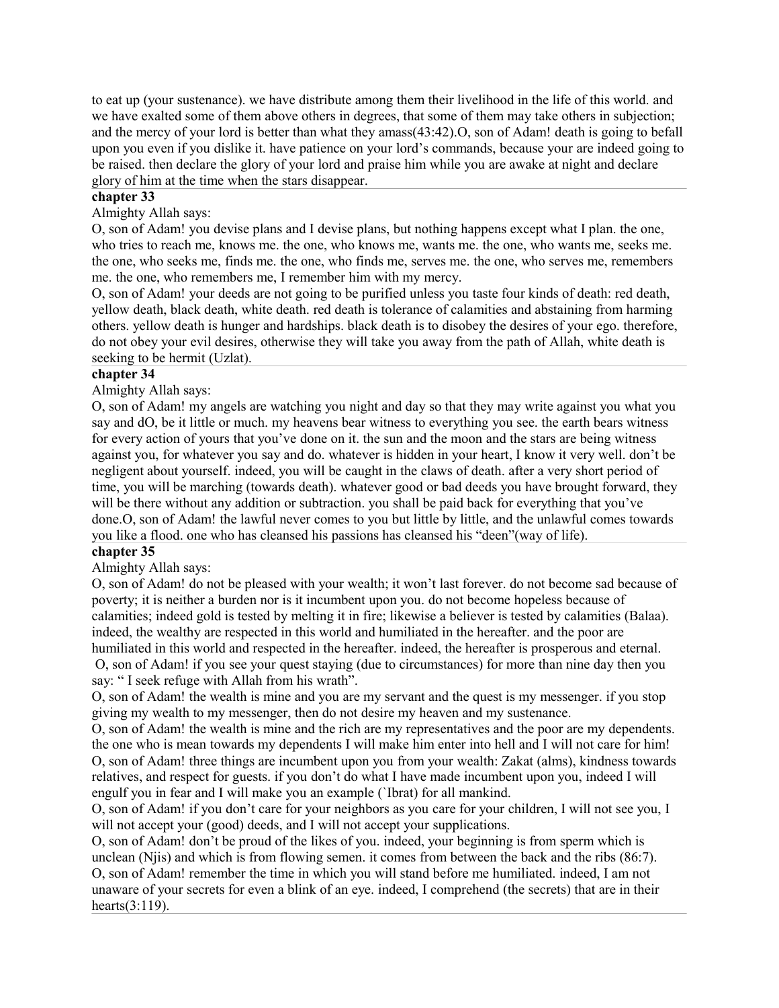to eat up (your sustenance). we have distribute among them their livelihood in the life of this world. and we have exalted some of them above others in degrees, that some of them may take others in subjection; and the mercy of your lord is better than what they amass(43:42).O, son of Adam! death is going to befall upon you even if you dislike it. have patience on your lord's commands, because your are indeed going to be raised. then declare the glory of your lord and praise him while you are awake at night and declare glory of him at the time when the stars disappear.

#### **chapter 33**

Almighty Allah says:

O, son of Adam! you devise plans and I devise plans, but nothing happens except what I plan. the one, who tries to reach me, knows me. the one, who knows me, wants me. the one, who wants me, seeks me. the one, who seeks me, finds me. the one, who finds me, serves me. the one, who serves me, remembers me. the one, who remembers me, I remember him with my mercy.

O, son of Adam! your deeds are not going to be purified unless you taste four kinds of death: red death, yellow death, black death, white death. red death is tolerance of calamities and abstaining from harming others. yellow death is hunger and hardships. black death is to disobey the desires of your ego. therefore, do not obey your evil desires, otherwise they will take you away from the path of Allah, white death is seeking to be hermit (Uzlat).

#### **chapter 34**

Almighty Allah says:

O, son of Adam! my angels are watching you night and day so that they may write against you what you say and dO, be it little or much. my heavens bear witness to everything you see. the earth bears witness for every action of yours that you've done on it. the sun and the moon and the stars are being witness against you, for whatever you say and do. whatever is hidden in your heart, I know it very well. don't be negligent about yourself. indeed, you will be caught in the claws of death. after a very short period of time, you will be marching (towards death). whatever good or bad deeds you have brought forward, they will be there without any addition or subtraction. you shall be paid back for everything that you've done.O, son of Adam! the lawful never comes to you but little by little, and the unlawful comes towards you like a flood. one who has cleansed his passions has cleansed his "deen"(way of life).

## **chapter 35**

Almighty Allah says:

O, son of Adam! do not be pleased with your wealth; it won't last forever. do not become sad because of poverty; it is neither a burden nor is it incumbent upon you. do not become hopeless because of calamities; indeed gold is tested by melting it in fire; likewise a believer is tested by calamities (Balaa). indeed, the wealthy are respected in this world and humiliated in the hereafter. and the poor are humiliated in this world and respected in the hereafter. indeed, the hereafter is prosperous and eternal.

O, son of Adam! if you see your quest staying (due to circumstances) for more than nine day then you say: " I seek refuge with Allah from his wrath".

O, son of Adam! the wealth is mine and you are my servant and the quest is my messenger. if you stop giving my wealth to my messenger, then do not desire my heaven and my sustenance.

O, son of Adam! the wealth is mine and the rich are my representatives and the poor are my dependents. the one who is mean towards my dependents I will make him enter into hell and I will not care for him! O, son of Adam! three things are incumbent upon you from your wealth: Zakat (alms), kindness towards relatives, and respect for guests. if you don't do what I have made incumbent upon you, indeed I will engulf you in fear and I will make you an example (`Ibrat) for all mankind.

O, son of Adam! if you don't care for your neighbors as you care for your children, I will not see you, I will not accept your (good) deeds, and I will not accept your supplications.

O, son of Adam! don't be proud of the likes of you. indeed, your beginning is from sperm which is unclean (Njis) and which is from flowing semen. it comes from between the back and the ribs (86:7). O, son of Adam! remember the time in which you will stand before me humiliated. indeed, I am not unaware of your secrets for even a blink of an eye. indeed, I comprehend (the secrets) that are in their hearts(3:119).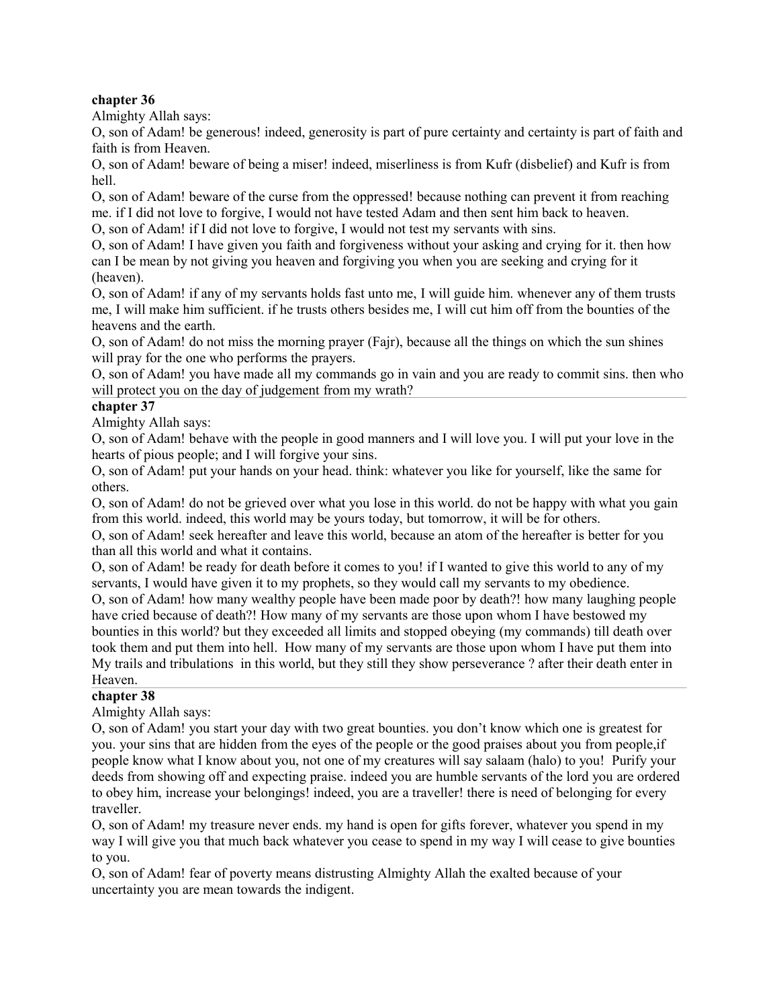## **chapter 36**

Almighty Allah says:

O, son of Adam! be generous! indeed, generosity is part of pure certainty and certainty is part of faith and faith is from Heaven.

O, son of Adam! beware of being a miser! indeed, miserliness is from Kufr (disbelief) and Kufr is from hell.

O, son of Adam! beware of the curse from the oppressed! because nothing can prevent it from reaching me. if I did not love to forgive, I would not have tested Adam and then sent him back to heaven. O, son of Adam! if I did not love to forgive, I would not test my servants with sins.

O, son of Adam! I have given you faith and forgiveness without your asking and crying for it. then how can I be mean by not giving you heaven and forgiving you when you are seeking and crying for it (heaven).

O, son of Adam! if any of my servants holds fast unto me, I will guide him. whenever any of them trusts me, I will make him sufficient. if he trusts others besides me, I will cut him off from the bounties of the heavens and the earth.

O, son of Adam! do not miss the morning prayer (Fajr), because all the things on which the sun shines will pray for the one who performs the prayers.

O, son of Adam! you have made all my commands go in vain and you are ready to commit sins. then who will protect you on the day of judgement from my wrath?

## **chapter 37**

Almighty Allah says:

O, son of Adam! behave with the people in good manners and I will love you. I will put your love in the hearts of pious people; and I will forgive your sins.

O, son of Adam! put your hands on your head. think: whatever you like for yourself, like the same for others.

O, son of Adam! do not be grieved over what you lose in this world. do not be happy with what you gain from this world. indeed, this world may be yours today, but tomorrow, it will be for others.

O, son of Adam! seek hereafter and leave this world, because an atom of the hereafter is better for you than all this world and what it contains.

O, son of Adam! be ready for death before it comes to you! if I wanted to give this world to any of my servants, I would have given it to my prophets, so they would call my servants to my obedience.

O, son of Adam! how many wealthy people have been made poor by death?! how many laughing people have cried because of death?! How many of my servants are those upon whom I have bestowed my bounties in this world? but they exceeded all limits and stopped obeying (my commands) till death over took them and put them into hell. How many of my servants are those upon whom I have put them into My trails and tribulations in this world, but they still they show perseverance ? after their death enter in Heaven.

## **chapter 38**

Almighty Allah says:

O, son of Adam! you start your day with two great bounties. you don't know which one is greatest for you. your sins that are hidden from the eyes of the people or the good praises about you from people,if people know what I know about you, not one of my creatures will say salaam (halo) to you! Purify your deeds from showing off and expecting praise. indeed you are humble servants of the lord you are ordered to obey him, increase your belongings! indeed, you are a traveller! there is need of belonging for every traveller.

O, son of Adam! my treasure never ends. my hand is open for gifts forever, whatever you spend in my way I will give you that much back whatever you cease to spend in my way I will cease to give bounties to you.

O, son of Adam! fear of poverty means distrusting Almighty Allah the exalted because of your uncertainty you are mean towards the indigent.